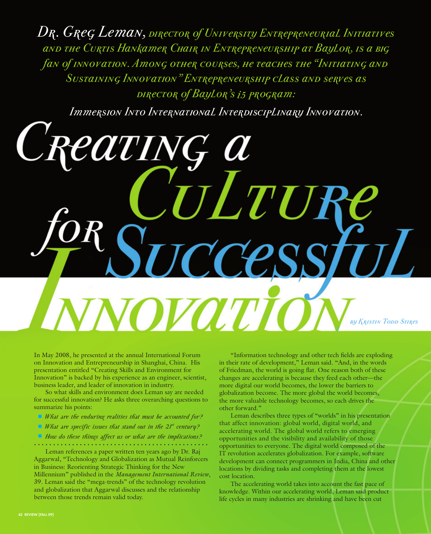*Dr. Greg Leman, director of University Entrepreneurial Initiatives and the Curtis Hankamer Chair in Entrepreneurship at Baylor, is a big fan of innovation. Among other courses, he teaches the "Initiating and Sustaining Innovation" Entrepreneurship class and serves as director of Baylor's i5 program:* 

*Immersion Into International Interdisciplinary Innovation.* 

7

**ZOW** 

In May 2008, he presented at the annual International Forum on Innovation and Entrepreneurship in Shanghai, China. His presentation entitled "Creating Skills and Environment for Innovation" is backed by his experience as an engineer, scientist, business leader, and leader of innovation in industry.

So what skills and environment does Leman say are needed for successful innovation? He asks three overarching questions to summarize his points:

- *What are the enduring realities that must be accounted for?*
- *<i>What are specific issues that stand out in the 21st century?*
- *How do these things affect us or what are the implications?*

Leman references a paper written ten years ago by Dr. Raj Aggarwal, "Technology and Globalization as Mutual Reinforcers in Business: Reorienting Strategic Thinking for the New Millennium" published in the *Management International Review*, 39. Leman said the "mega-trends" of the technology revolution and globalization that Aggarwal discusses and the relationship between those trends remain valid today.

"Information technology and other tech fields are exploding in their rate of development," Leman said. "And, in the words of Friedman, the world is going flat. One reason both of these changes are accelerating is because they feed each other—the more digital our world becomes, the lower the barriers to globalization become. The more global the world becomes, the more valuable technology becomes, so each drives the other forward."

*by Kristin Todd Stires*

Leman describes three types of "worlds" in his presentation that affect innovation: global world, digital world, and accelerating world. The global world refers to emerging opportunities and the visibility and availability of those opportunities to everyone. The digital world composed of the IT revolution accelerates globalization. For example, software development can connect programmers in India, China and other locations by dividing tasks and completing them at the lowest cost location.

The accelerating world takes into account the fast pace of knowledge. Within our accelerating world, Leman said product life cycles in many industries are shrinking and have been cut